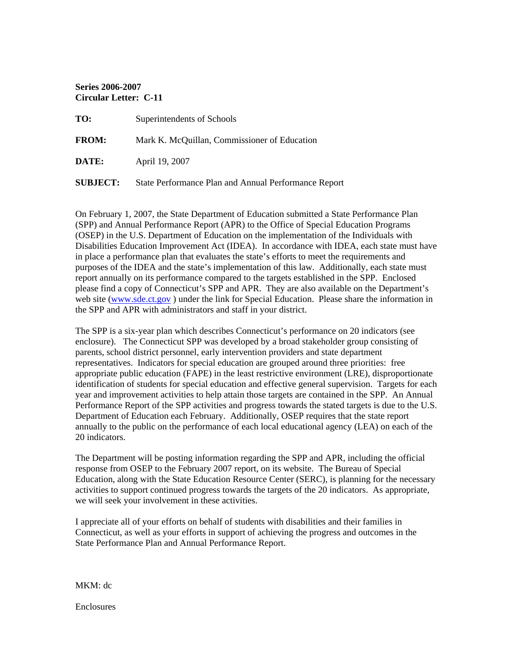**Series 2006-2007 Circular Letter: C-11** 

| TO:             | Superintendents of Schools                           |
|-----------------|------------------------------------------------------|
| <b>FROM:</b>    | Mark K. McQuillan, Commissioner of Education         |
| DATE:           | April 19, 2007                                       |
| <b>SUBJECT:</b> | State Performance Plan and Annual Performance Report |

On February 1, 2007, the State Department of Education submitted a State Performance Plan (SPP) and Annual Performance Report (APR) to the Office of Special Education Programs (OSEP) in the U.S. Department of Education on the implementation of the Individuals with Disabilities Education Improvement Act (IDEA). In accordance with IDEA, each state must have in place a performance plan that evaluates the state's efforts to meet the requirements and purposes of the IDEA and the state's implementation of this law. Additionally, each state must report annually on its performance compared to the targets established in the SPP. Enclosed please find a copy of Connecticut's SPP and APR. They are also available on the Department's web site ([www.sde.ct.gov](http://www.sde.ct.gov/) [\)](http://www.sde.ct.gov) under the link for Special Education. Please share the information in the SPP and APR with administrators and staff in your district.

The SPP is a six-year plan which describes Connecticut's performance on 20 indicators (see enclosure). The Connecticut SPP was developed by a broad stakeholder group consisting of parents, school district personnel, early intervention providers and state department representatives. Indicators for special education are grouped around three priorities: free appropriate public education (FAPE) in the least restrictive environment (LRE), disproportionate identification of students for special education and effective general supervision. Targets for each year and improvement activities to help attain those targets are contained in the SPP. An Annual Performance Report of the SPP activities and progress towards the stated targets is due to the U.S. Department of Education each February. Additionally, OSEP requires that the state report annually to the public on the performance of each local educational agency (LEA) on each of the 20 indicators.

The Department will be posting information regarding the SPP and APR, including the official response from OSEP to the February 2007 report, on its website. The Bureau of Special Education, along with the State Education Resource Center (SERC), is planning for the necessary activities to support continued progress towards the targets of the 20 indicators. As appropriate, we will seek your involvement in these activities.

I appreciate all of your efforts on behalf of students with disabilities and their families in Connecticut, as well as your efforts in support of achieving the progress and outcomes in the State Performance Plan and Annual Performance Report.

MKM: dc

Enclosures